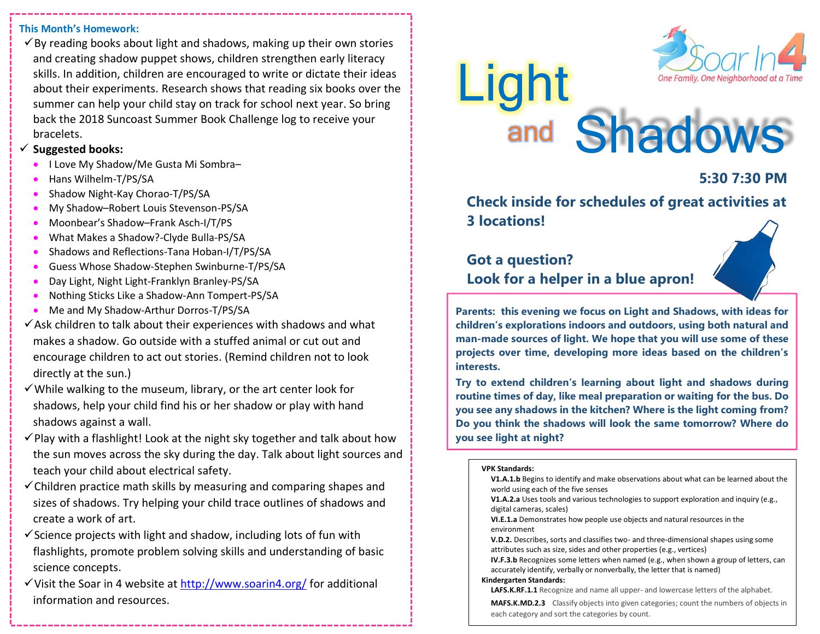#### **This Month's Homework:**

 $\checkmark$  By reading books about light and shadows, making up their own stories and creating shadow puppet shows, children strengthen early literacy skills. In addition, children are encouraged to write or dictate their ideas about their experiments. Research shows that reading six books over the summer can help your child stay on track for school next year. So bring back the 2018 Suncoast Summer Book Challenge log to receive your bracelets.

#### ✓ **Suggested books:**

- I Love My Shadow/Me Gusta Mi Sombra–
- Hans Wilhelm-T/PS/SA
- Shadow Night-Kay Chorao-T/PS/SA
- My Shadow–Robert Louis Stevenson-PS/SA
- Moonbear's Shadow–Frank Asch-I/T/PS
- What Makes a Shadow?-Clyde Bulla-PS/SA
- Shadows and Reflections-Tana Hoban-I/T/PS/SA
- Guess Whose Shadow-Stephen Swinburne-T/PS/SA
- Day Light, Night Light-Franklyn Branley-PS/SA
- Nothing Sticks Like a Shadow-Ann Tompert-PS/SA
- Me and My Shadow-Arthur Dorros-T/PS/SA
- $\checkmark$  Ask children to talk about their experiences with shadows and what makes a shadow. Go outside with a stuffed animal or cut out and encourage children to act out stories. (Remind children not to look directly at the sun.)
- $\checkmark$  While walking to the museum, library, or the art center look for shadows, help your child find his or her shadow or play with hand shadows against a wall.
- $\checkmark$  Play with a flashlight! Look at the night sky together and talk about how the sun moves across the sky during the day. Talk about light sources and teach your child about electrical safety.
- $\checkmark$  Children practice math skills by measuring and comparing shapes and sizes of shadows. Try helping your child trace outlines of shadows and create a work of art.
- $\checkmark$  Science projects with light and shadow, including lots of fun with flashlights, promote problem solving skills and understanding of basic science concepts.
- ✓Visit the Soar in 4 website at<http://www.soarin4.org/> for additional information and resources.



# Light and Shadows

## **5:30 7:30 PM**

**Check inside for schedules of great activities at 3 locations!** 

# **Got a question? Look for a helper in a blue apron!**

**Parents: this evening we focus on Light and Shadows, with ideas for children's explorations indoors and outdoors, using both natural and man-made sources of light. We hope that you will use some of these projects over time, developing more ideas based on the children's interests.**

**Try to extend children's learning about light and shadows during routine times of day, like meal preparation or waiting for the bus. Do you see any shadows in the kitchen? Where is the light coming from? Do you think the shadows will look the same tomorrow? Where do you see light at night?**

#### **VPK Standards:**

**V1.A.1.b** Begins to identify and make observations about what can be learned about the world using each of the five senses

**V1.A.2.a** Uses tools and various technologies to support exploration and inquiry (e.g., digital cameras, scales)

**VI.E.1.a** Demonstrates how people use objects and natural resources in the environment

**V.D.2.** Describes, sorts and classifies two- and three-dimensional shapes using some attributes such as size, sides and other properties (e.g., vertices)

**IV.F.3.b** Recognizes some letters when named (e.g., when shown a group of letters, can accurately identify, verbally or nonverbally, the letter that is named)

#### **Kindergarten Standards:**

**LAFS.K.RF.1.1** Recognize and name all upper- and lowercase letters of the alphabet.

**MAFS.K.MD.2.3** Classify objects into given categories; count the numbers of objects in each category and sort the categories by count.